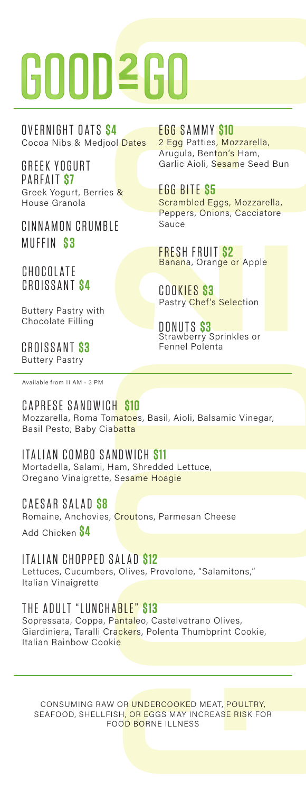# 600D260

Cocoa Nibs & Medjool Dates OVERNIGHT OATS **\$4**

GREEK YOGURT PARFAIT **\$7** Greek Yogurt, Berries & House Granola

CINNAMON CRUMBLE MUFFIN **\$ 3**

#### CHOCOL ATF CROISSANT **\$4**

Buttery Pastry with Chocolate Filling

#### CROISSANT **\$3** Buttery Pastry

Available from 11 AM - 3 PM

#### CAPRESE SANDWICH **\$10**

Mozzarella, Roma Tomatoes, Basil, Aioli, Balsamic Vinegar, Basil Pesto, Baby Ciabatta

#### ITALIAN COMBO SANDWICH **\$11**

Mortadella, Salami, Ham, Shredded Lettuce, Oregano Vinaigrette, Sesame Hoagie

#### CAESAR SALAD **\$8**

Romaine, Anchovies, Croutons, Parmesan Cheese

Add Chicken **\$4**

ITALIAN CHOPPED SALAD **\$12** Lettuces, Cucumbers, Olives, Provolone, "Salamitons," Italian Vinaigrette

#### THE ADULT "LUNCHABLE" **\$13**

Sopressata, Coppa, Pantaleo, Castelvetrano Olives, Giardiniera, Taralli Crackers, Polenta Thumbprint Cookie, Italian Rainbow Cookie

CONSUMING RAW OR UNDERCOOKED MEAT, POULTRY, SEAFOOD, SHELLFISH, OR EGGS MAY INCREASE RISK FOR FOOD BORNE ILLNESS

EGG SAMMY **\$10** 2 Egg Patties, Mozzarella, Arugula, Benton's Ham, Garlic Aioli, Sesame Seed Bun

EGG BITE **\$5** Scrambled Eggs, Mozzarella, Peppers, Onions, Cacciatore Sauce

FRESH FRUIT **\$2** Banana, Orange or Apple

COOKIES **\$3** Pastry Chef's Selection

DONUTS **\$3** Strawberry Sprinkles or Fennel Polenta